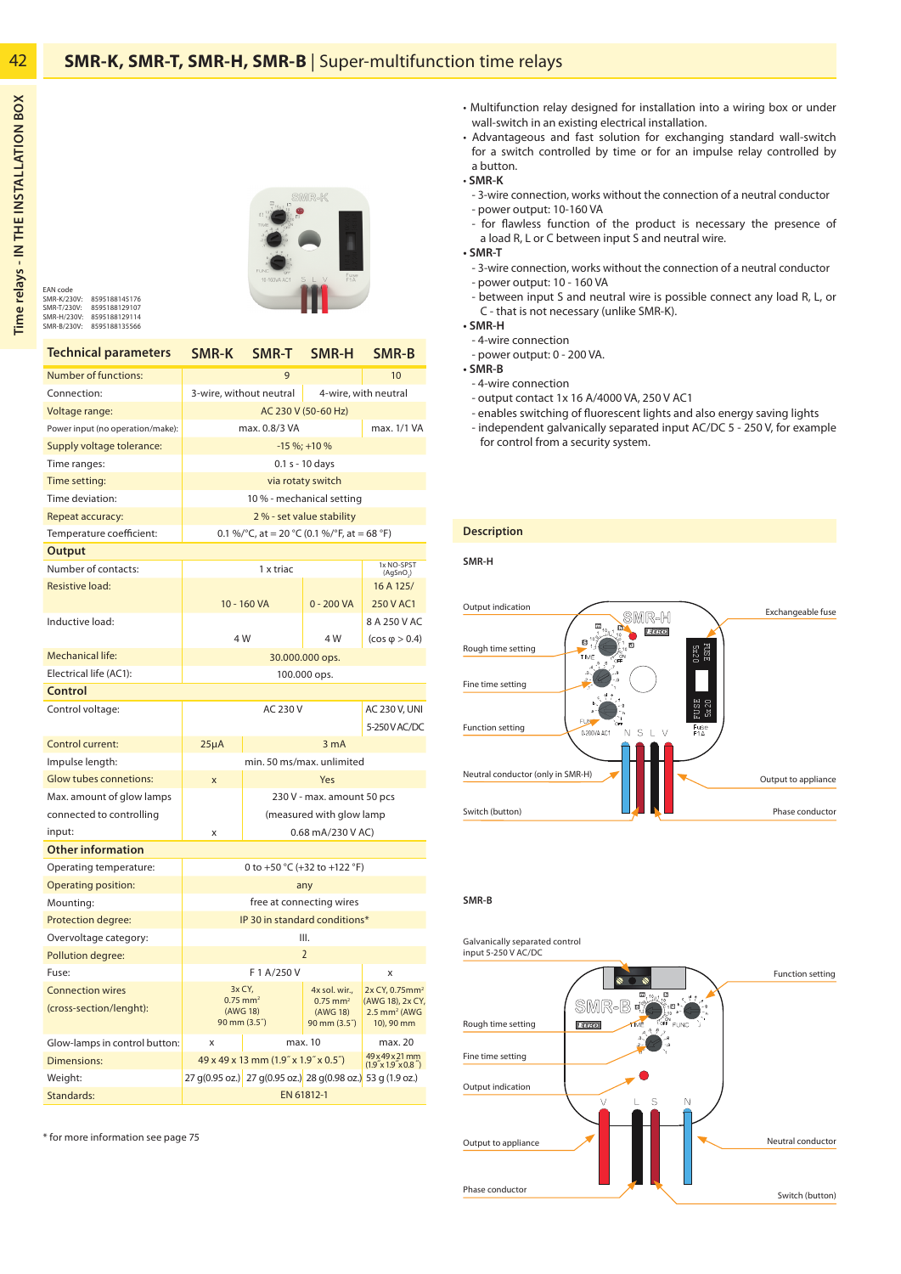# **SMR-K, SMR-T, SMR-H, SMR-B** | Super-multifunction time relays

42



8595188145176 8595188129107 SMR-K/230V: SMR-T/230V: 8595188129114 8595188135566 SMR-H/230V: SMR-B/230V: EAN code

| <b>Technical parameters</b>      | SMR-K                                                       | SMR-T                                | SMR-H                                   | <b>SMR-B</b>                                              |
|----------------------------------|-------------------------------------------------------------|--------------------------------------|-----------------------------------------|-----------------------------------------------------------|
| <b>Number of functions:</b>      |                                                             | 9                                    |                                         | 10                                                        |
| Connection:                      | 3-wire, without neutral<br>4-wire, with neutral             |                                      |                                         |                                                           |
| Voltage range:                   | AC 230 V (50-60 Hz)                                         |                                      |                                         |                                                           |
| Power input (no operation/make): | max. 0.8/3 VA                                               |                                      |                                         | max. 1/1 VA                                               |
| Supply voltage tolerance:        | $-15 \%$ ; +10 %                                            |                                      |                                         |                                                           |
| Time ranges:                     | 0.1 s - 10 days                                             |                                      |                                         |                                                           |
| Time setting:                    | via rotaty switch                                           |                                      |                                         |                                                           |
| Time deviation:                  | 10% - mechanical setting                                    |                                      |                                         |                                                           |
| Repeat accuracy:                 | 2 % - set value stability                                   |                                      |                                         |                                                           |
| Temperature coefficient:         | 0.1 %/°C, at = 20 °C (0.1 %/°F, at = 68 °F)                 |                                      |                                         |                                                           |
| Output                           |                                                             |                                      |                                         |                                                           |
| Number of contacts:              | 1 x triac                                                   |                                      | 1x NO-SPST<br>(AgSnO <sub>2</sub> )     |                                                           |
| <b>Resistive load:</b>           |                                                             |                                      | 16 A 125/                               |                                                           |
|                                  |                                                             | 10 - 160 VA                          | $0 - 200 VA$                            | 250 V AC1                                                 |
| Inductive load:                  |                                                             |                                      |                                         | 8 A 250 V AC                                              |
|                                  |                                                             | 4 W                                  | 4 W                                     | $(cos \varphi > 0.4)$                                     |
| <b>Mechanical life:</b>          | 30.000.000 ops.                                             |                                      |                                         |                                                           |
| Electrical life (AC1):           | 100.000 ops.                                                |                                      |                                         |                                                           |
| <b>Control</b>                   |                                                             |                                      |                                         |                                                           |
| Control voltage:                 | AC 230 V                                                    |                                      | AC 230 V, UNI                           |                                                           |
|                                  |                                                             |                                      |                                         | 5-250 V AC/DC                                             |
| Control current:                 | $25\mu A$<br>3 <sub>m</sub> A                               |                                      |                                         |                                                           |
| Impulse length:                  | min. 50 ms/max. unlimited                                   |                                      |                                         |                                                           |
| Glow tubes connetions:           | Yes<br>$\overline{\mathsf{x}}$                              |                                      |                                         |                                                           |
| Max. amount of glow lamps        | 230 V - max. amount 50 pcs                                  |                                      |                                         |                                                           |
| connected to controlling         | (measured with glow lamp                                    |                                      |                                         |                                                           |
| input:                           | 0.68 mA/230 V AC)<br>X                                      |                                      |                                         |                                                           |
| <b>Other information</b>         |                                                             |                                      |                                         |                                                           |
| Operating temperature:           | 0 to +50 °C (+32 to +122 °F)                                |                                      |                                         |                                                           |
| Operating position:              | any                                                         |                                      |                                         |                                                           |
| Mounting:                        | free at connecting wires                                    |                                      |                                         |                                                           |
| Protection degree:               | IP 30 in standard conditions*                               |                                      |                                         |                                                           |
| Overvoltage category:            | III.                                                        |                                      |                                         |                                                           |
| Pollution degree:                | $\overline{2}$                                              |                                      |                                         |                                                           |
| Fuse:                            | F 1 A/250 V<br>x                                            |                                      |                                         |                                                           |
| <b>Connection wires</b>          | 3x CY,<br>$0.75$ mm <sup>2</sup><br>(AWG 18)                |                                      | 4x sol. wir.,<br>$0.75$ mm <sup>2</sup> | 2x CY, 0.75mm <sup>2</sup><br>(AWG 18), 2x CY,            |
| (cross-section/lenght):          |                                                             |                                      | (AWG 18)                                | $2.5$ mm <sup>2</sup> (AWG                                |
|                                  |                                                             | 90 mm (3.5")                         | 90 mm (3.5 <sup>")</sup>                | 10), 90 mm                                                |
| Glow-lamps in control button:    | max. 10<br>X                                                |                                      | max. 20                                 |                                                           |
| <b>Dimensions:</b>               |                                                             | 49 x 49 x 13 mm (1.9" x 1.9" x 0.5") |                                         | 49 x 49 x 21 mm<br>$(1.9 \times 1.9 \times 0.8 \times 1)$ |
| Weight:                          | 27 g(0.95 oz.) 27 g(0.95 oz.) 28 g(0.98 oz.) 53 g (1.9 oz.) |                                      |                                         |                                                           |
| Standards:                       | EN 61812-1                                                  |                                      |                                         |                                                           |

\* for more information see page 75

- Multifunction relay designed for installation into a wiring box or under wall-switch in an existing electrical installation.
- Advantageous and fast solution for exchanging standard wall-switch for a switch controlled by time or for an impulse relay controlled by a button.
- **SMR-K**
	- 3-wire connection, works without the connection of a neutral conductor - power output: 10-160 VA
	- for flawless function of the product is necessary the presence of a load R, L or C between input S and neutral wire.
- **SMR-T**
- 3-wire connection, works without the connection of a neutral conductor - power output: 10 - 160 VA
- between input S and neutral wire is possible connect any load R, L, or C - that is not necessary (unlike SMR-K).
- **SMR-H**
	- 4-wire connection
	- power output: 0 200 VA.
- **SMR-B**
- 4-wire connection
- output contact 1x 16 A/4000 VA, 250 V AC1
- enables switching of fluorescent lights and also energy saving lights
- independent galvanically separated input AC/DC 5 250 V, for example for control from a security system.

# **Description**

**SMR-H**



### **SMR-B**

Galvanically separated control input 5-250 V AC/DC